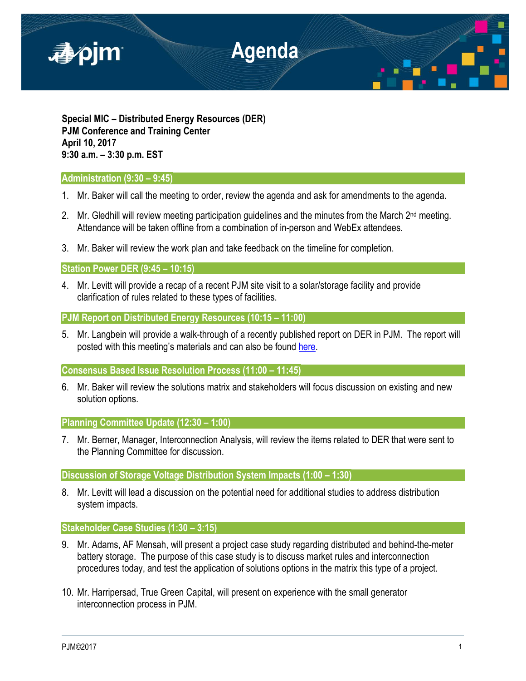

**Special MIC – Distributed Energy Resources (DER) PJM Conference and Training Center April 10, 2017 9:30 a.m. – 3:30 p.m. EST**

# **Administration (9:30 – 9:45)**

- 1. Mr. Baker will call the meeting to order, review the agenda and ask for amendments to the agenda.
- 2. Mr. Gledhill will review meeting participation guidelines and the minutes from the March  $2<sup>nd</sup>$  meeting. Attendance will be taken offline from a combination of in-person and WebEx attendees.
- 3. Mr. Baker will review the work plan and take feedback on the timeline for completion.

### **Station Power DER (9:45 – 10:15)**

4. Mr. Levitt will provide a recap of a recent PJM site visit to a solar/storage facility and provide clarification of rules related to these types of facilities.

**PJM Report on Distributed Energy Resources (10:15 – 11:00)**

5. Mr. Langbein will provide a walk-through of a recently published report on DER in PJM. The report will posted with this meeting's materials and can also be found [here.](http://www.pjm.com/%7E/media/markets-ops/demand-response/2016-der-annual-report.ashx)

**Consensus Based Issue Resolution Process (11:00 – 11:45)**

6. Mr. Baker will review the solutions matrix and stakeholders will focus discussion on existing and new solution options.

**Planning Committee Update (12:30 – 1:00)**

7. Mr. Berner, Manager, Interconnection Analysis, will review the items related to DER that were sent to the Planning Committee for discussion.

**Discussion of Storage Voltage Distribution System Impacts (1:00 – 1:30)**

8. Mr. Levitt will lead a discussion on the potential need for additional studies to address distribution system impacts.

# **Stakeholder Case Studies (1:30 – 3:15)**

- 9. Mr. Adams, AF Mensah, will present a project case study regarding distributed and behind-the-meter battery storage. The purpose of this case study is to discuss market rules and interconnection procedures today, and test the application of solutions options in the matrix this type of a project.
- 10. Mr. Harripersad, True Green Capital, will present on experience with the small generator interconnection process in PJM.